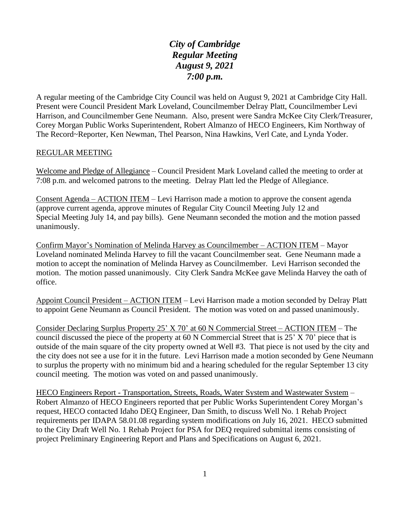*City of Cambridge Regular Meeting August 9, 2021 7:00 p.m.*

A regular meeting of the Cambridge City Council was held on August 9, 2021 at Cambridge City Hall. Present were Council President Mark Loveland, Councilmember Delray Platt, Councilmember Levi Harrison, and Councilmember Gene Neumann. Also, present were Sandra McKee City Clerk/Treasurer, Corey Morgan Public Works Superintendent, Robert Almanzo of HECO Engineers, Kim Northway of The Record~Reporter, Ken Newman, Thel Pearson, Nina Hawkins, Verl Cate, and Lynda Yoder.

## REGULAR MEETING

Welcome and Pledge of Allegiance – Council President Mark Loveland called the meeting to order at 7:08 p.m. and welcomed patrons to the meeting. Delray Platt led the Pledge of Allegiance.

Consent Agenda – ACTION ITEM – Levi Harrison made a motion to approve the consent agenda (approve current agenda, approve minutes of Regular City Council Meeting July 12 and Special Meeting July 14, and pay bills). Gene Neumann seconded the motion and the motion passed unanimously.

Confirm Mayor's Nomination of Melinda Harvey as Councilmember – ACTION ITEM – Mayor Loveland nominated Melinda Harvey to fill the vacant Councilmember seat. Gene Neumann made a motion to accept the nomination of Melinda Harvey as Councilmember. Levi Harrison seconded the motion. The motion passed unanimously. City Clerk Sandra McKee gave Melinda Harvey the oath of office.

Appoint Council President – ACTION ITEM – Levi Harrison made a motion seconded by Delray Platt to appoint Gene Neumann as Council President. The motion was voted on and passed unanimously.

Consider Declaring Surplus Property 25' X 70' at 60 N Commercial Street – ACTION ITEM – The council discussed the piece of the property at 60 N Commercial Street that is 25' X 70' piece that is outside of the main square of the city property owned at Well #3. That piece is not used by the city and the city does not see a use for it in the future. Levi Harrison made a motion seconded by Gene Neumann to surplus the property with no minimum bid and a hearing scheduled for the regular September 13 city council meeting. The motion was voted on and passed unanimously.

HECO Engineers Report - Transportation, Streets, Roads, Water System and Wastewater System – Robert Almanzo of HECO Engineers reported that per Public Works Superintendent Corey Morgan's request, HECO contacted Idaho DEQ Engineer, Dan Smith, to discuss Well No. 1 Rehab Project requirements per IDAPA 58.01.08 regarding system modifications on July 16, 2021. HECO submitted to the City Draft Well No. 1 Rehab Project for PSA for DEQ required submittal items consisting of project Preliminary Engineering Report and Plans and Specifications on August 6, 2021.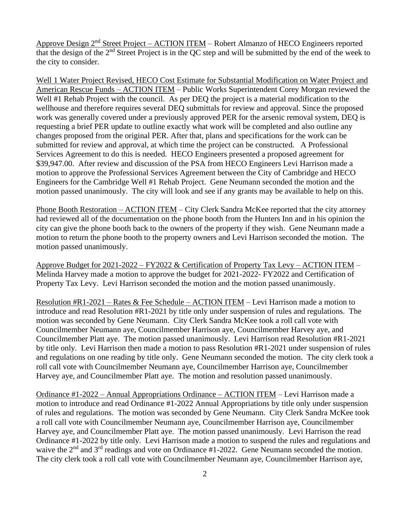Approve Design 2nd Street Project – ACTION ITEM – Robert Almanzo of HECO Engineers reported that the design of the  $2<sup>nd</sup>$  Street Project is in the QC step and will be submitted by the end of the week to the city to consider.

Well 1 Water Project Revised, HECO Cost Estimate for Substantial Modification on Water Project and American Rescue Funds – ACTION ITEM – Public Works Superintendent Corey Morgan reviewed the Well #1 Rehab Project with the council. As per DEQ the project is a material modification to the wellhouse and therefore requires several DEQ submittals for review and approval. Since the proposed work was generally covered under a previously approved PER for the arsenic removal system, DEQ is requesting a brief PER update to outline exactly what work will be completed and also outline any changes proposed from the original PER. After that, plans and specifications for the work can be submitted for review and approval, at which time the project can be constructed. A Professional Services Agreement to do this is needed. HECO Engineers presented a proposed agreement for \$39,947.00. After review and discussion of the PSA from HECO Engineers Levi Harrison made a motion to approve the Professional Services Agreement between the City of Cambridge and HECO Engineers for the Cambridge Well #1 Rehab Project. Gene Neumann seconded the motion and the motion passed unanimously. The city will look and see if any grants may be available to help on this.

Phone Booth Restoration – ACTION ITEM – City Clerk Sandra McKee reported that the city attorney had reviewed all of the documentation on the phone booth from the Hunters Inn and in his opinion the city can give the phone booth back to the owners of the property if they wish. Gene Neumann made a motion to return the phone booth to the property owners and Levi Harrison seconded the motion. The motion passed unanimously.

Approve Budget for 2021-2022 – FY2022 & Certification of Property Tax Levy – ACTION ITEM – Melinda Harvey made a motion to approve the budget for 2021-2022- FY2022 and Certification of Property Tax Levy. Levi Harrison seconded the motion and the motion passed unanimously.

Resolution #R1-2021 – Rates & Fee Schedule – ACTION ITEM – Levi Harrison made a motion to introduce and read Resolution #R1-2021 by title only under suspension of rules and regulations. The motion was seconded by Gene Neumann. City Clerk Sandra McKee took a roll call vote with Councilmember Neumann aye, Councilmember Harrison aye, Councilmember Harvey aye, and Councilmember Platt aye. The motion passed unanimously. Levi Harrison read Resolution #R1-2021 by title only. Levi Harrison then made a motion to pass Resolution #R1-2021 under suspension of rules and regulations on one reading by title only. Gene Neumann seconded the motion. The city clerk took a roll call vote with Councilmember Neumann aye, Councilmember Harrison aye, Councilmember Harvey aye, and Councilmember Platt aye. The motion and resolution passed unanimously.

Ordinance #1-2022 – Annual Appropriations Ordinance – ACTION ITEM – Levi Harrison made a motion to introduce and read Ordinance #1-2022 Annual Appropriations by title only under suspension of rules and regulations. The motion was seconded by Gene Neumann. City Clerk Sandra McKee took a roll call vote with Councilmember Neumann aye, Councilmember Harrison aye, Councilmember Harvey aye, and Councilmember Platt aye. The motion passed unanimously. Levi Harrison the read Ordinance #1-2022 by title only. Levi Harrison made a motion to suspend the rules and regulations and waive the 2<sup>nd</sup> and 3<sup>rd</sup> readings and vote on Ordinance #1-2022. Gene Neumann seconded the motion. The city clerk took a roll call vote with Councilmember Neumann aye, Councilmember Harrison aye,